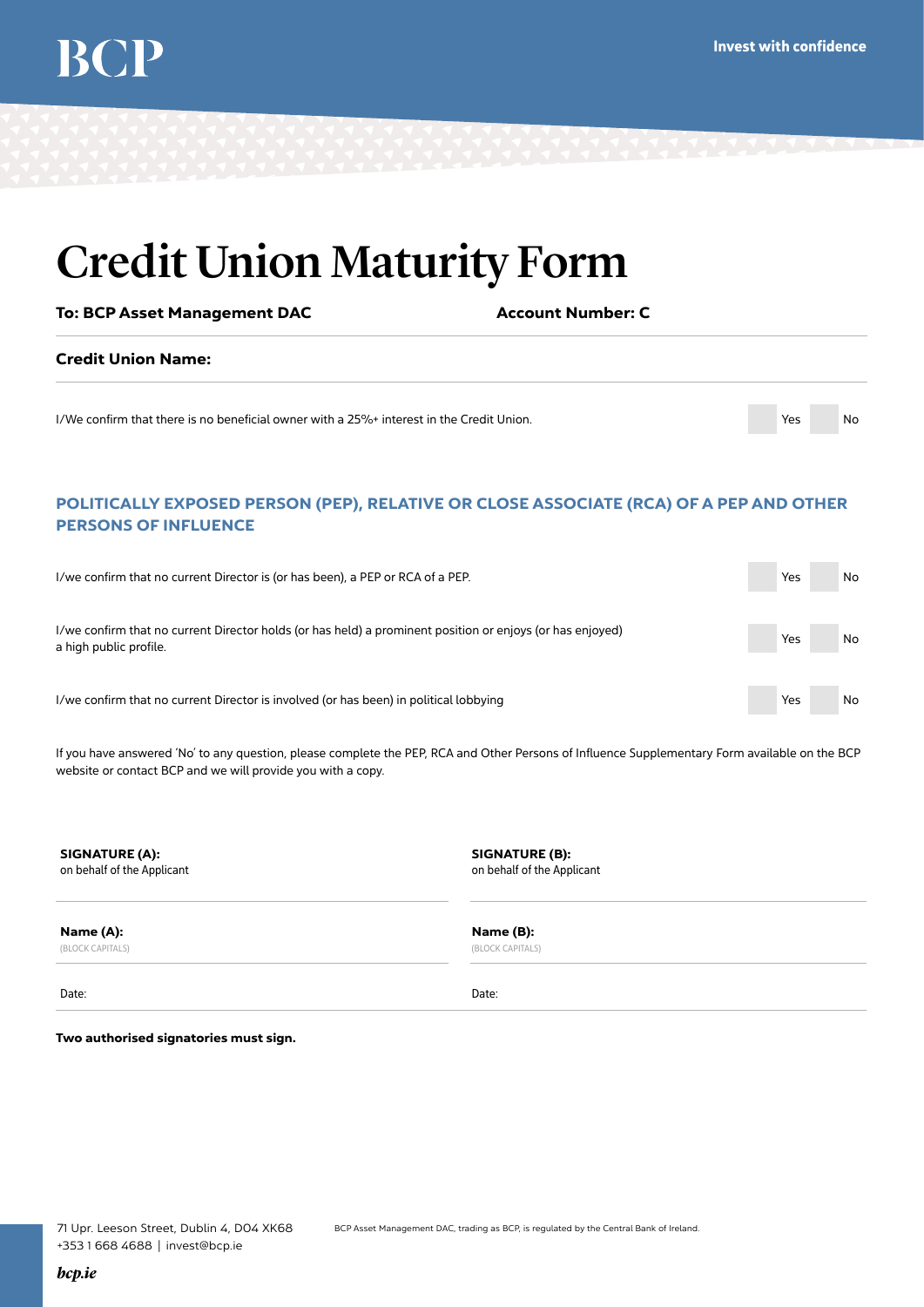## Credit Union Maturity Form

To: BCP Asset Management DAC Account Number: C Credit Union Name: I/We confirm that there is no beneficial owner with a 25%+ interest in the Credit Union. Yes No

### POLITICALLY EXPOSED PERSON (PEP), RELATIVE OR CLOSE ASSOCIATE (RCA) OF A PEP AND OTHER PERSONS OF INFLUENCE

| I/we confirm that no current Director is (or has been), a PEP or RCA of a PEP.                                                      | Yes | No. |
|-------------------------------------------------------------------------------------------------------------------------------------|-----|-----|
| I/we confirm that no current Director holds (or has held) a prominent position or enjoys (or has enjoyed)<br>a high public profile. | Yes | No  |
| I/we confirm that no current Director is involved (or has been) in political lobbying                                               | Yes | No  |

If you have answered 'No' to any question, please complete the PEP, RCA and Other Persons of Influence Supplementary Form available on the BCP website or contact BCP and we will provide you with a copy.

SIGNATURE (A): SIGNATURE (B): SIGNATURE (B): on behalf of the Applicant on behalf of the Applicant

Name (A): Name (B):

(BLOCK CAPITALS) (BLOCK CAPITALS)

Date: Date:

Two authorised signatories must sign.

*bcp.ie*